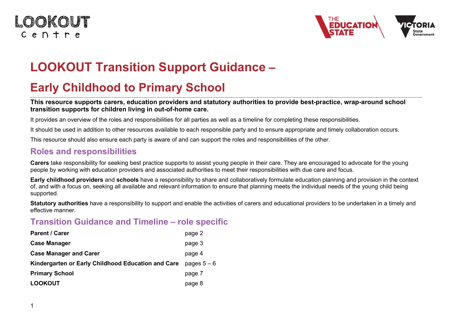### LOOKOUT  $C$  e  $n + r$  e



# **LOOKOUT Transition Support Guidance –**

## **Early Childhood to Primary School**

#### **This resource supports carers, education providers and statutory authorities to provide best-practice, wrap-around school transition supports for children living in out-of-home care.**

It provides an overview of the roles and responsibilities for all parties as well as a timeline for completing these responsibilities.

It should be used in addition to other resources available to each responsible party and to ensure appropriate and timely collaboration occurs.

This resource should also ensure each party is aware of and can support the roles and responsibilities of the other.

#### **Roles and responsibilities**

**Carers** take responsibility for seeking best practice supports to assist young people in their care. They are encouraged to advocate for the young people by working with education providers and associated authorities to meet their responsibilities with due care and focus.

**Early childhood providers** and **schools** have a responsibility to share and collaboratively formulate education planning and provision in the context of, and with a focus on, seeking all available and relevant information to ensure that planning meets the individual needs of the young child being supported.

**Statutory authorities** have a responsibility to support and enable the activities of carers and educational providers to be undertaken in a timely and effective manner.

#### **Transition Guidance and Timeline – role specific**

| <b>Parent / Carer</b>                              | page 2      |
|----------------------------------------------------|-------------|
| <b>Case Manager</b>                                | page 3      |
| <b>Case Manager and Carer</b>                      | page 4      |
| Kindergarten or Early Childhood Education and Care | pages $5-6$ |
| <b>Primary School</b>                              | page 7      |
| <b>LOOKOUT</b>                                     | page 8      |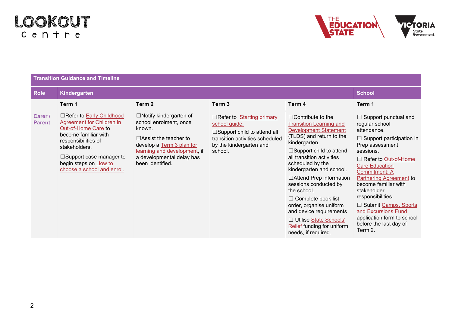

| <b>Transition Guidance and Timeline</b> |                                                                                                                                                                                                                                               |                                                                                                                                                                                                                 |                                                                                                                                                                  |                                                                                                                                                                                                                                                                                                                                                                                                                                                                                                      |                                                                                                                                                                                                                                                                                                                                                                                                                              |  |
|-----------------------------------------|-----------------------------------------------------------------------------------------------------------------------------------------------------------------------------------------------------------------------------------------------|-----------------------------------------------------------------------------------------------------------------------------------------------------------------------------------------------------------------|------------------------------------------------------------------------------------------------------------------------------------------------------------------|------------------------------------------------------------------------------------------------------------------------------------------------------------------------------------------------------------------------------------------------------------------------------------------------------------------------------------------------------------------------------------------------------------------------------------------------------------------------------------------------------|------------------------------------------------------------------------------------------------------------------------------------------------------------------------------------------------------------------------------------------------------------------------------------------------------------------------------------------------------------------------------------------------------------------------------|--|
| <b>Role</b>                             | Kindergarten                                                                                                                                                                                                                                  | <b>School</b>                                                                                                                                                                                                   |                                                                                                                                                                  |                                                                                                                                                                                                                                                                                                                                                                                                                                                                                                      |                                                                                                                                                                                                                                                                                                                                                                                                                              |  |
|                                         | Term 1                                                                                                                                                                                                                                        | Term 2                                                                                                                                                                                                          | Term 3                                                                                                                                                           | Term 4                                                                                                                                                                                                                                                                                                                                                                                                                                                                                               | Term 1                                                                                                                                                                                                                                                                                                                                                                                                                       |  |
| Carer /<br><b>Parent</b>                | □Refer to <b>Early Childhood</b><br>Agreement for Children in<br>Out-of-Home Care to<br>become familiar with<br>responsibilities of<br>stakeholders.<br>$\Box$ Support case manager to<br>begin steps on How to<br>choose a school and enrol. | $\Box$ Notify kindergarten of<br>school enrolment, once<br>known.<br>$\Box$ Assist the teacher to<br>develop a Term 3 plan for<br>learning and development, if<br>a developmental delay has<br>been identified. | $\Box$ Refer to Starting primary<br>school guide.<br>$\Box$ Support child to attend all<br>transition activities scheduled<br>by the kindergarten and<br>school. | $\Box$ Contribute to the<br><b>Transition Learning and</b><br><b>Development Statement</b><br>(TLDS) and return to the<br>kindergarten.<br>$\Box$ Support child to attend<br>all transition activities<br>scheduled by the<br>kindergarten and school.<br>$\Box$ Attend Prep information<br>sessions conducted by<br>the school.<br>$\Box$ Complete book list<br>order, organise uniform<br>and device requirements<br>□ Utilise State Schools'<br>Relief funding for uniform<br>needs, if required. | $\Box$ Support punctual and<br>regular school<br>attendance.<br>$\Box$ Support participation in<br>Prep assessment<br>sessions.<br>□ Refer to Out-of-Home<br><b>Care Education</b><br><b>Commitment: A</b><br><b>Partnering Agreement to</b><br>become familiar with<br>stakeholder<br>responsibilities.<br>□ Submit Camps, Sports<br>and Excursions Fund<br>application form to school<br>before the last day of<br>Term 2. |  |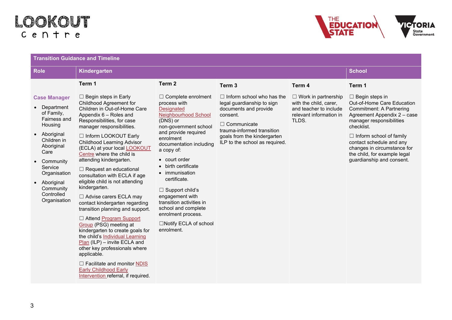

| <b>Transition Guidance and Timeline</b>                                                                                                                                                                                            |                                                                                                                                                                                                                                                                                                                                                                                                                                                                                                                                                                                                                                                                                                                                                                                                                                                                                               |                                                                                                                                                                                                                                                                                                                                                                                                                                                          |                                                                                                                                                                                                                          |                                                                                                                    |                                                                                                                                                                                                                                                                                                                           |  |
|------------------------------------------------------------------------------------------------------------------------------------------------------------------------------------------------------------------------------------|-----------------------------------------------------------------------------------------------------------------------------------------------------------------------------------------------------------------------------------------------------------------------------------------------------------------------------------------------------------------------------------------------------------------------------------------------------------------------------------------------------------------------------------------------------------------------------------------------------------------------------------------------------------------------------------------------------------------------------------------------------------------------------------------------------------------------------------------------------------------------------------------------|----------------------------------------------------------------------------------------------------------------------------------------------------------------------------------------------------------------------------------------------------------------------------------------------------------------------------------------------------------------------------------------------------------------------------------------------------------|--------------------------------------------------------------------------------------------------------------------------------------------------------------------------------------------------------------------------|--------------------------------------------------------------------------------------------------------------------|---------------------------------------------------------------------------------------------------------------------------------------------------------------------------------------------------------------------------------------------------------------------------------------------------------------------------|--|
| <b>Role</b>                                                                                                                                                                                                                        | Kindergarten                                                                                                                                                                                                                                                                                                                                                                                                                                                                                                                                                                                                                                                                                                                                                                                                                                                                                  | <b>School</b>                                                                                                                                                                                                                                                                                                                                                                                                                                            |                                                                                                                                                                                                                          |                                                                                                                    |                                                                                                                                                                                                                                                                                                                           |  |
|                                                                                                                                                                                                                                    | Term 1                                                                                                                                                                                                                                                                                                                                                                                                                                                                                                                                                                                                                                                                                                                                                                                                                                                                                        | Term <sub>2</sub>                                                                                                                                                                                                                                                                                                                                                                                                                                        | Term <sub>3</sub>                                                                                                                                                                                                        | Term 4                                                                                                             | Term 1                                                                                                                                                                                                                                                                                                                    |  |
| <b>Case Manager</b><br>• Department<br>of Family,<br>Fairness and<br>Housing<br>Aboriginal<br>Children in<br>Aboriginal<br>Care<br>Community<br>Service<br>Organisation<br>• Aboriginal<br>Community<br>Controlled<br>Organisation | $\Box$ Begin steps in Early<br>Childhood Agreement for<br>Children in Out-of-Home Care<br>Appendix 6 - Roles and<br>Responsibilities, for case<br>manager responsibilities.<br>□ Inform LOOKOUT Early<br><b>Childhood Learning Advisor</b><br>(ECLA) at your local LOOKOUT<br>Centre where the child is<br>attending kindergarten.<br>$\Box$ Request an educational<br>consultation with ECLA if age<br>eligible child is not attending<br>kindergarten.<br>□ Advise carers ECLA may<br>contact kindergarten regarding<br>transition planning and support.<br>□ Attend Program Support<br><b>Group</b> (PSG) meeting at<br>kindergarten to create goals for<br>the child's Individual Learning<br>$Plan$ (ILP) – invite ECLA and<br>other key professionals where<br>applicable.<br>$\Box$ Facilitate and monitor NDIS<br><b>Early Childhood Early</b><br>Intervention referral, if required. | $\Box$ Complete enrolment<br>process with<br><b>Designated</b><br><b>Neighbourhood School</b><br>(DNS) or<br>non-government school<br>and provide required<br>enrolment<br>documentation including<br>a copy of:<br>• court order<br>• birth certificate<br>• immunisation<br>certificate.<br>$\Box$ Support child's<br>engagement with<br>transition activities in<br>school and complete<br>enrolment process.<br>□Notify ECLA of school<br>enrolment. | $\Box$ Inform school who has the<br>legal guardianship to sign<br>documents and provide<br>consent.<br>$\Box$ Communicate<br>trauma-informed transition<br>goals from the kindergarten<br>ILP to the school as required. | $\Box$ Work in partnership<br>with the child, carer,<br>and teacher to include<br>relevant information in<br>TLDS. | $\Box$ Begin steps in<br>Out-of-Home Care Education<br><b>Commitment: A Partnering</b><br>Agreement Appendix 2 - case<br>manager responsibilities<br>checklist.<br>$\Box$ Inform school of family<br>contact schedule and any<br>changes in circumstance for<br>the child, for example legal<br>guardianship and consent. |  |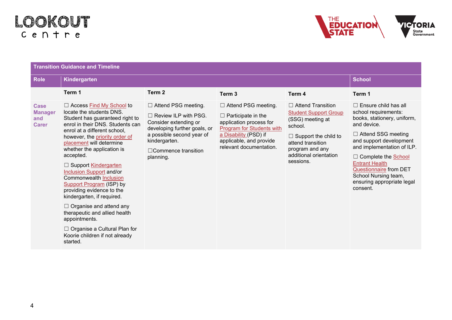

| <b>Transition Guidance and Timeline</b>       |                                                                                                                                                                                                                                                                                                                                                                                                                                                                                                                                                                                                                                    |                                                                                                                                                                                                             |                                                                                                                                                                                                |                                                                                                                                                                                                       |                                                                                                                                                                                                                                                                                                                                            |  |
|-----------------------------------------------|------------------------------------------------------------------------------------------------------------------------------------------------------------------------------------------------------------------------------------------------------------------------------------------------------------------------------------------------------------------------------------------------------------------------------------------------------------------------------------------------------------------------------------------------------------------------------------------------------------------------------------|-------------------------------------------------------------------------------------------------------------------------------------------------------------------------------------------------------------|------------------------------------------------------------------------------------------------------------------------------------------------------------------------------------------------|-------------------------------------------------------------------------------------------------------------------------------------------------------------------------------------------------------|--------------------------------------------------------------------------------------------------------------------------------------------------------------------------------------------------------------------------------------------------------------------------------------------------------------------------------------------|--|
| <b>Role</b>                                   | Kindergarten                                                                                                                                                                                                                                                                                                                                                                                                                                                                                                                                                                                                                       | <b>School</b>                                                                                                                                                                                               |                                                                                                                                                                                                |                                                                                                                                                                                                       |                                                                                                                                                                                                                                                                                                                                            |  |
|                                               | Term 1                                                                                                                                                                                                                                                                                                                                                                                                                                                                                                                                                                                                                             | Term <sub>2</sub>                                                                                                                                                                                           | Term <sub>3</sub>                                                                                                                                                                              | Term 4                                                                                                                                                                                                | Term 1                                                                                                                                                                                                                                                                                                                                     |  |
| Case<br><b>Manager</b><br>and<br><b>Carer</b> | $\Box$ Access Find My School to<br>locate the students DNS.<br>Student has guaranteed right to<br>enrol in their DNS. Students can<br>enrol at a different school,<br>however, the priority order of<br>placement will determine<br>whether the application is<br>accepted.<br>□ Support Kindergarten<br>Inclusion Support and/or<br><b>Commonwealth Inclusion</b><br>Support Program (ISP) by<br>providing evidence to the<br>kindergarten, if required.<br>$\Box$ Organise and attend any<br>therapeutic and allied health<br>appointments.<br>$\Box$ Organise a Cultural Plan for<br>Koorie children if not already<br>started. | $\Box$ Attend PSG meeting.<br>$\Box$ Review ILP with PSG.<br>Consider extending or<br>developing further goals, or<br>a possible second year of<br>kindergarten.<br>$\Box$ Commence transition<br>planning. | $\Box$ Attend PSG meeting.<br>$\Box$ Participate in the<br>application process for<br>Program for Students with<br>a Disability (PSD) if<br>applicable, and provide<br>relevant documentation. | $\Box$ Attend Transition<br><b>Student Support Group</b><br>(SSG) meeting at<br>school.<br>$\Box$ Support the child to<br>attend transition<br>program and any<br>additional orientation<br>sessions. | $\Box$ Ensure child has all<br>school requirements:<br>books, stationery, uniform,<br>and device.<br>$\Box$ Attend SSG meeting<br>and support development<br>and implementation of ILP.<br>$\Box$ Complete the School<br><b>Entrant Health</b><br>Questionnaire from DET<br>School Nursing team,<br>ensuring appropriate legal<br>consent. |  |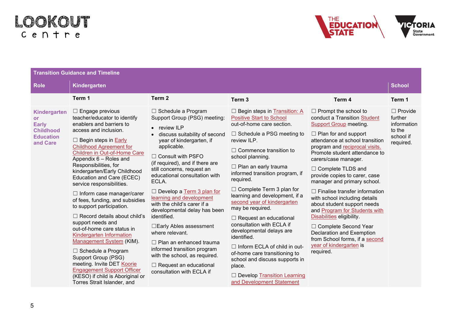

| <b>Transition Guidance and Timeline</b>                                                       |                                                                                                                                                                                                                                                                                                                                                                                                                                                                                                                                                                                                                                                                                                                                                                                                                  |                                                                                                                                                                                                                                                                                                                                                                                                                                                                                                                                                                                                                                                              |                                                                                                                                                                                                                                                                                                                                                                                                                                                                                                                                                                                                                                                                                                               |                                                                                                                                                                                                                                                                                                                                                                                                                                                                                                                                                                                                                                                                |                                                                              |  |  |
|-----------------------------------------------------------------------------------------------|------------------------------------------------------------------------------------------------------------------------------------------------------------------------------------------------------------------------------------------------------------------------------------------------------------------------------------------------------------------------------------------------------------------------------------------------------------------------------------------------------------------------------------------------------------------------------------------------------------------------------------------------------------------------------------------------------------------------------------------------------------------------------------------------------------------|--------------------------------------------------------------------------------------------------------------------------------------------------------------------------------------------------------------------------------------------------------------------------------------------------------------------------------------------------------------------------------------------------------------------------------------------------------------------------------------------------------------------------------------------------------------------------------------------------------------------------------------------------------------|---------------------------------------------------------------------------------------------------------------------------------------------------------------------------------------------------------------------------------------------------------------------------------------------------------------------------------------------------------------------------------------------------------------------------------------------------------------------------------------------------------------------------------------------------------------------------------------------------------------------------------------------------------------------------------------------------------------|----------------------------------------------------------------------------------------------------------------------------------------------------------------------------------------------------------------------------------------------------------------------------------------------------------------------------------------------------------------------------------------------------------------------------------------------------------------------------------------------------------------------------------------------------------------------------------------------------------------------------------------------------------------|------------------------------------------------------------------------------|--|--|
| <b>Role</b>                                                                                   | Kindergarten                                                                                                                                                                                                                                                                                                                                                                                                                                                                                                                                                                                                                                                                                                                                                                                                     |                                                                                                                                                                                                                                                                                                                                                                                                                                                                                                                                                                                                                                                              |                                                                                                                                                                                                                                                                                                                                                                                                                                                                                                                                                                                                                                                                                                               |                                                                                                                                                                                                                                                                                                                                                                                                                                                                                                                                                                                                                                                                |                                                                              |  |  |
|                                                                                               | Term 1                                                                                                                                                                                                                                                                                                                                                                                                                                                                                                                                                                                                                                                                                                                                                                                                           | Term <sub>2</sub>                                                                                                                                                                                                                                                                                                                                                                                                                                                                                                                                                                                                                                            | Term <sub>3</sub>                                                                                                                                                                                                                                                                                                                                                                                                                                                                                                                                                                                                                                                                                             | Term 4                                                                                                                                                                                                                                                                                                                                                                                                                                                                                                                                                                                                                                                         | Term 1                                                                       |  |  |
| Kindergarten<br><b>or</b><br><b>Early</b><br><b>Childhood</b><br><b>Education</b><br>and Care | $\Box$ Engage previous<br>teacher/educator to identify<br>enablers and barriers to<br>access and inclusion.<br>$\Box$ Begin steps in <b>Early</b><br><b>Childhood Agreement for</b><br>Children in Out-of-Home Care<br>Appendix 6 - Roles and<br>Responsibilities, for<br>kindergarten/Early Childhood<br>Education and Care (ECEC)<br>service responsibilities.<br>$\Box$ Inform case manager/carer<br>of fees, funding, and subsidies<br>to support participation.<br>$\Box$ Record details about child's<br>support needs and<br>out-of-home care status in<br>Kindergarten Information<br>Management System (KIM).<br>$\Box$ Schedule a Program<br>Support Group (PSG)<br>meeting. Invite DET Koorie<br><b>Engagement Support Officer</b><br>(KESO) if child is Aboriginal or<br>Torres Strait Islander, and | □ Schedule a Program<br>Support Group (PSG) meeting:<br>$\bullet$ review ILP<br>discuss suitability of second<br>year of kindergarten, if<br>applicable.<br>$\Box$ Consult with PSFO<br>(if required), and if there are<br>still concerns, request an<br>educational consultation with<br>ECLA.<br>$\Box$ Develop a Term 3 plan for<br>learning and development<br>with the child's carer if a<br>developmental delay has been<br>identified.<br>□ Early Ables assessment<br>where relevant.<br>$\Box$ Plan an enhanced trauma<br>informed transition program<br>with the school, as required.<br>$\Box$ Request an educational<br>consultation with ECLA if | $\Box$ Begin steps in Transition: A<br><b>Positive Start to School</b><br>out-of-home care section.<br>$\Box$ Schedule a PSG meeting to<br>review ILP.<br>$\Box$ Commence transition to<br>school planning.<br>$\Box$ Plan an early trauma<br>informed transition program, if<br>required.<br>$\Box$ Complete Term 3 plan for<br>learning and development, if a<br>second year of kindergarten<br>may be required.<br>$\Box$ Request an educational<br>consultation with ECLA if<br>developmental delays are<br>identified.<br>$\Box$ Inform ECLA of child in out-<br>of-home care transitioning to<br>school and discuss supports in<br>place.<br>□ Develop Transition Learning<br>and Development Statement | $\Box$ Prompt the school to<br>conduct a Transition Student<br><b>Support Group meeting.</b><br>$\Box$ Plan for and support<br>attendance at school transition<br>program and reciprocal visits.<br>Promote student attendance to<br>carers/case manager.<br>□ Complete TLDS and<br>provide copies to carer, case<br>manager and primary school.<br>$\Box$ Finalise transfer information<br>with school including details<br>about student support needs<br>and Program for Students with<br>Disabilities eligibility.<br>□ Complete Second Year<br><b>Declaration and Exemption</b><br>from School forms, if a second<br>year of kindergarten is<br>required. | $\Box$ Provide<br>further<br>information<br>to the<br>school if<br>required. |  |  |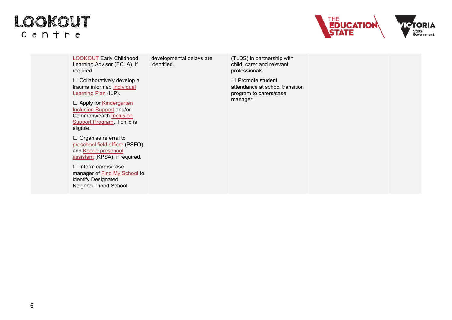#### LOOKOUT  $C$  e  $n + r$  e



[LOOKOUT](https://www.education.vic.gov.au/about/programs/Pages/lookout.aspx) Early Childhood Learning Advisor (ECLA), if required.

developmental delays are identified.

☐ Collaboratively develop a trauma informed [Individual](https://www.education.vic.gov.au/childhood/professionals/health/outofhomecare/Pages/learningplans.aspx)  [Learning Plan](https://www.education.vic.gov.au/childhood/professionals/health/outofhomecare/Pages/learningplans.aspx) (ILP).

□ Apply for Kindergarten [Inclusion Support](https://www.education.vic.gov.au/childhood/professionals/needs/Pages/kinderinclusion.aspx) and/or Commonwealth [Inclusion](https://www.education.gov.au/inclusion-support-program-isp)  [Support Program,](https://www.education.gov.au/inclusion-support-program-isp) if child is eligible.

□ Organise referral to [preschool field officer](https://www.education.vic.gov.au/childhood/professionals/needs/Pages/psfo.aspx) (PSFO) and [Koorie preschool](https://www.education.vic.gov.au/childhood/professionals/needs/Pages/kooriechildcarekinder.aspx#link21)  [assistant](https://www.education.vic.gov.au/childhood/professionals/needs/Pages/kooriechildcarekinder.aspx#link21) (KPSA), if required.

☐ Inform carers/case manager of [Find My School](https://www.findmyschool.vic.gov.au/) to identify Designated Neighbourhood School.

(TLDS) in partnership with child, carer and relevant professionals.

☐ Promote student attendance at school transition program to carers/case manager.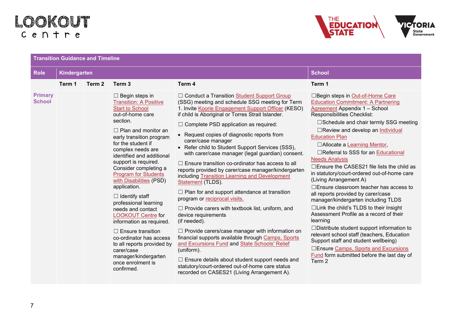### LOOKOUT  $C$  e  $n + r$  e



| <b>Role</b>                     | Kindergarten |        |                                                                                                                                                                                                                                                                                                                                                                                                                                                                                                                                                                                                                                                                             |                                                                                                                                                                                                                                                                                                                                                                                                                                                                                                                                                                                                                                                                                                                                                                                                                                                                                                                                                                                                                                                                                                                                                                      | <b>School</b>                                                                                                                                                                                                                                                                                                                                                                                                                                                                                                                                                                                                                                                                                                                                                                                                                                                                                                                                                     |  |
|---------------------------------|--------------|--------|-----------------------------------------------------------------------------------------------------------------------------------------------------------------------------------------------------------------------------------------------------------------------------------------------------------------------------------------------------------------------------------------------------------------------------------------------------------------------------------------------------------------------------------------------------------------------------------------------------------------------------------------------------------------------------|----------------------------------------------------------------------------------------------------------------------------------------------------------------------------------------------------------------------------------------------------------------------------------------------------------------------------------------------------------------------------------------------------------------------------------------------------------------------------------------------------------------------------------------------------------------------------------------------------------------------------------------------------------------------------------------------------------------------------------------------------------------------------------------------------------------------------------------------------------------------------------------------------------------------------------------------------------------------------------------------------------------------------------------------------------------------------------------------------------------------------------------------------------------------|-------------------------------------------------------------------------------------------------------------------------------------------------------------------------------------------------------------------------------------------------------------------------------------------------------------------------------------------------------------------------------------------------------------------------------------------------------------------------------------------------------------------------------------------------------------------------------------------------------------------------------------------------------------------------------------------------------------------------------------------------------------------------------------------------------------------------------------------------------------------------------------------------------------------------------------------------------------------|--|
|                                 | Term 1       | Term 2 | Term 3                                                                                                                                                                                                                                                                                                                                                                                                                                                                                                                                                                                                                                                                      | Term 4                                                                                                                                                                                                                                                                                                                                                                                                                                                                                                                                                                                                                                                                                                                                                                                                                                                                                                                                                                                                                                                                                                                                                               | Term 1                                                                                                                                                                                                                                                                                                                                                                                                                                                                                                                                                                                                                                                                                                                                                                                                                                                                                                                                                            |  |
| <b>Primary</b><br><b>School</b> |              |        | $\Box$ Begin steps in<br><b>Transition: A Positive</b><br><b>Start to School</b><br>out-of-home care<br>section.<br>$\Box$ Plan and monitor an<br>early transition program<br>for the student if<br>complex needs are<br>identified and additional<br>support is required.<br>Consider completing a<br><b>Program for Students</b><br>with Disabilities (PSD)<br>application.<br>$\Box$ Identify staff<br>professional learning<br>needs and contact<br><b>LOOKOUT Centre for</b><br>information as required.<br>$\Box$ Ensure transition<br>co-ordinator has access<br>to all reports provided by<br>carer/case<br>manager/kindergarten<br>once enrolment is<br>confirmed. | □ Conduct a Transition Student Support Group<br>(SSG) meeting and schedule SSG meeting for Term<br>1. Invite Koorie Engagement Support Officer (KESO)<br>if child is Aboriginal or Torres Strait Islander.<br>$\Box$ Complete PSD application as required:<br>• Request copies of diagnostic reports from<br>carer/case manager<br>• Refer child to Student Support Services (SSS),<br>with carer/case manager (legal guardian) consent.<br>$\Box$ Ensure transition co-ordinator has access to all<br>reports provided by carer/case manager/kindergarten<br>including Transition Learning and Development<br>Statement (TLDS).<br>$\Box$ Plan for and support attendance at transition<br>program or reciprocal visits.<br>$\Box$ Provide carers with textbook list, uniform, and<br>device requirements<br>(if needed).<br>$\Box$ Provide carers/case manager with information on<br>financial supports available through Camps, Sports<br>and Excursions Fund and State Schools' Relief<br>(uniform).<br>$\Box$ Ensure details about student support needs and<br>statutory/court-ordered out-of-home care status<br>recorded on CASES21 (Living Arrangement A). | □ Begin steps in Out-of-Home Care<br><b>Education Commitment: A Partnering</b><br>Agreement Appendix 1 - School<br>Responsibilities Checklist:<br>□Schedule and chair termly SSG meeting<br>□Review and develop an <b>Individual</b><br><b>Education Plan</b><br>□ Allocate a Learning Mentor,<br>□Referral to SSS for an Educational<br><b>Needs Analysis</b><br>□Ensure the CASES21 file lists the child as<br>in statutory/court-ordered out-of-home care<br>(Living Arrangement A)<br>□ Ensure classroom teacher has access to<br>all reports provided by carer/case<br>manager/kindergarten including TLDS<br>$\Box$ Link the child's TLDS to their Insight<br>Assessment Profile as a record of their<br>learning<br>$\Box$ Distribute student support information to<br>relevant school staff (teachers, Education<br>Support staff and student wellbeing)<br>□Ensure Camps, Sports and Excursions<br>Fund form submitted before the last day of<br>Term 2 |  |